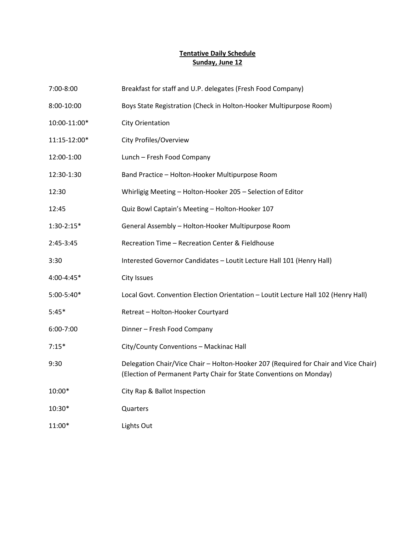### **Tentative Daily Schedule Sunday, June 12**

| 7:00-8:00    | Breakfast for staff and U.P. delegates (Fresh Food Company)                                                                                                |
|--------------|------------------------------------------------------------------------------------------------------------------------------------------------------------|
| 8:00-10:00   | Boys State Registration (Check in Holton-Hooker Multipurpose Room)                                                                                         |
| 10:00-11:00* | <b>City Orientation</b>                                                                                                                                    |
| 11:15-12:00* | City Profiles/Overview                                                                                                                                     |
| 12:00-1:00   | Lunch - Fresh Food Company                                                                                                                                 |
| 12:30-1:30   | Band Practice - Holton-Hooker Multipurpose Room                                                                                                            |
| 12:30        | Whirligig Meeting - Holton-Hooker 205 - Selection of Editor                                                                                                |
| 12:45        | Quiz Bowl Captain's Meeting - Holton-Hooker 107                                                                                                            |
| $1:30-2:15*$ | General Assembly - Holton-Hooker Multipurpose Room                                                                                                         |
| 2:45-3:45    | Recreation Time - Recreation Center & Fieldhouse                                                                                                           |
| 3:30         | Interested Governor Candidates - Loutit Lecture Hall 101 (Henry Hall)                                                                                      |
| 4:00-4:45*   | City Issues                                                                                                                                                |
| 5:00-5:40*   | Local Govt. Convention Election Orientation - Loutit Lecture Hall 102 (Henry Hall)                                                                         |
| $5:45*$      | Retreat - Holton-Hooker Courtyard                                                                                                                          |
| 6:00-7:00    | Dinner - Fresh Food Company                                                                                                                                |
| $7:15*$      | City/County Conventions - Mackinac Hall                                                                                                                    |
| 9:30         | Delegation Chair/Vice Chair - Holton-Hooker 207 (Required for Chair and Vice Chair)<br>(Election of Permanent Party Chair for State Conventions on Monday) |
| 10:00*       | City Rap & Ballot Inspection                                                                                                                               |
| 10:30*       | Quarters                                                                                                                                                   |
| 11:00*       | Lights Out                                                                                                                                                 |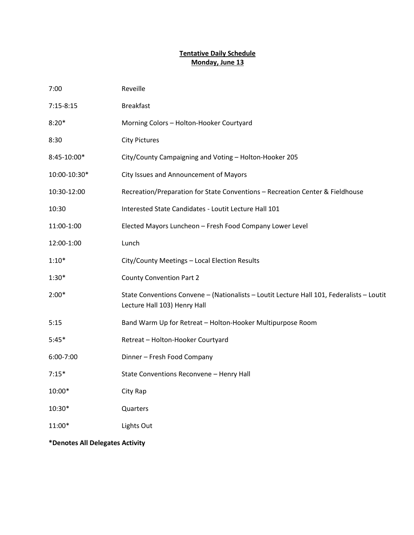#### **Tentative Daily Schedule Monday, June 13**

| 7:00                            | Reveille                                                                                                                  |  |
|---------------------------------|---------------------------------------------------------------------------------------------------------------------------|--|
| $7:15-8:15$                     | <b>Breakfast</b>                                                                                                          |  |
| $8:20*$                         | Morning Colors - Holton-Hooker Courtyard                                                                                  |  |
| 8:30                            | <b>City Pictures</b>                                                                                                      |  |
| 8:45-10:00*                     | City/County Campaigning and Voting - Holton-Hooker 205                                                                    |  |
| 10:00-10:30*                    | City Issues and Announcement of Mayors                                                                                    |  |
| 10:30-12:00                     | Recreation/Preparation for State Conventions - Recreation Center & Fieldhouse                                             |  |
| 10:30                           | Interested State Candidates - Loutit Lecture Hall 101                                                                     |  |
| 11:00-1:00                      | Elected Mayors Luncheon - Fresh Food Company Lower Level                                                                  |  |
| 12:00-1:00                      | Lunch                                                                                                                     |  |
| $1:10*$                         | City/County Meetings - Local Election Results                                                                             |  |
| $1:30*$                         | <b>County Convention Part 2</b>                                                                                           |  |
| $2:00*$                         | State Conventions Convene - (Nationalists - Loutit Lecture Hall 101, Federalists - Loutit<br>Lecture Hall 103) Henry Hall |  |
| 5:15                            | Band Warm Up for Retreat - Holton-Hooker Multipurpose Room                                                                |  |
| $5:45*$                         | Retreat - Holton-Hooker Courtyard                                                                                         |  |
| 6:00-7:00                       | Dinner - Fresh Food Company                                                                                               |  |
| $7:15*$                         | State Conventions Reconvene - Henry Hall                                                                                  |  |
| 10:00*                          | City Rap                                                                                                                  |  |
| 10:30*                          | Quarters                                                                                                                  |  |
| 11:00*                          | Lights Out                                                                                                                |  |
| *Denotes All Delegates Activity |                                                                                                                           |  |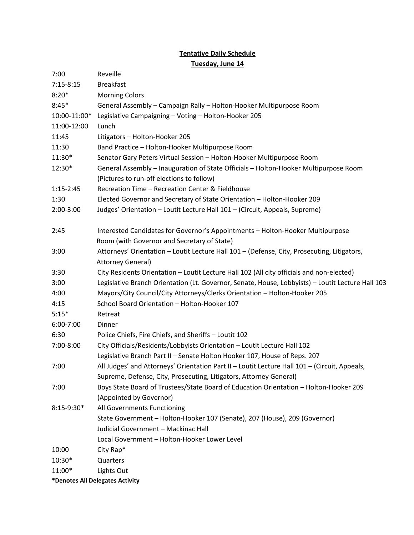# **Tentative Daily Schedule**

**Tuesday, June 14**

| 7:00          | Reveille                                                                                                                |
|---------------|-------------------------------------------------------------------------------------------------------------------------|
| $7:15 - 8:15$ | <b>Breakfast</b>                                                                                                        |
| $8:20*$       | <b>Morning Colors</b>                                                                                                   |
| $8:45*$       | General Assembly - Campaign Rally - Holton-Hooker Multipurpose Room                                                     |
| 10:00-11:00*  | Legislative Campaigning - Voting - Holton-Hooker 205                                                                    |
| 11:00-12:00   | Lunch                                                                                                                   |
| 11:45         | Litigators - Holton-Hooker 205                                                                                          |
| 11:30         | Band Practice - Holton-Hooker Multipurpose Room                                                                         |
| 11:30*        | Senator Gary Peters Virtual Session - Holton-Hooker Multipurpose Room                                                   |
| 12:30*        | General Assembly - Inauguration of State Officials - Holton-Hooker Multipurpose Room                                    |
|               | (Pictures to run-off elections to follow)                                                                               |
| $1:15 - 2:45$ | Recreation Time - Recreation Center & Fieldhouse                                                                        |
| 1:30          | Elected Governor and Secretary of State Orientation - Holton-Hooker 209                                                 |
| 2:00-3:00     | Judges' Orientation - Loutit Lecture Hall 101 - (Circuit, Appeals, Supreme)                                             |
| 2:45          | Interested Candidates for Governor's Appointments - Holton-Hooker Multipurpose                                          |
|               | Room (with Governor and Secretary of State)                                                                             |
| 3:00          | Attorneys' Orientation - Loutit Lecture Hall 101 - (Defense, City, Prosecuting, Litigators,<br><b>Attorney General)</b> |
| 3:30          | City Residents Orientation - Loutit Lecture Hall 102 (All city officials and non-elected)                               |
| 3:00          | Legislative Branch Orientation (Lt. Governor, Senate, House, Lobbyists) - Loutit Lecture Hall 103                       |
| 4:00          | Mayors/City Council/City Attorneys/Clerks Orientation - Holton-Hooker 205                                               |
| 4:15          | School Board Orientation - Holton-Hooker 107                                                                            |
| $5:15*$       | Retreat                                                                                                                 |
| 6:00-7:00     | Dinner                                                                                                                  |
| 6:30          | Police Chiefs, Fire Chiefs, and Sheriffs - Loutit 102                                                                   |
| 7:00-8:00     | City Officials/Residents/Lobbyists Orientation - Loutit Lecture Hall 102                                                |
|               | Legislative Branch Part II - Senate Holton Hooker 107, House of Reps. 207                                               |
| 7:00          | All Judges' and Attorneys' Orientation Part II - Loutit Lecture Hall 101 - (Circuit, Appeals,                           |
|               | Supreme, Defense, City, Prosecuting, Litigators, Attorney General)                                                      |
| 7:00          | Boys State Board of Trustees/State Board of Education Orientation - Holton-Hooker 209                                   |
|               | (Appointed by Governor)                                                                                                 |
| $8:15-9:30*$  | All Governments Functioning                                                                                             |
|               | State Government - Holton-Hooker 107 (Senate), 207 (House), 209 (Governor)                                              |
|               | Judicial Government - Mackinac Hall                                                                                     |
|               | Local Government - Holton-Hooker Lower Level                                                                            |
| 10:00         | City Rap*                                                                                                               |
| 10:30*        | Quarters                                                                                                                |
| 11:00*        | Lights Out                                                                                                              |
|               | *Denotes All Delegates Activity                                                                                         |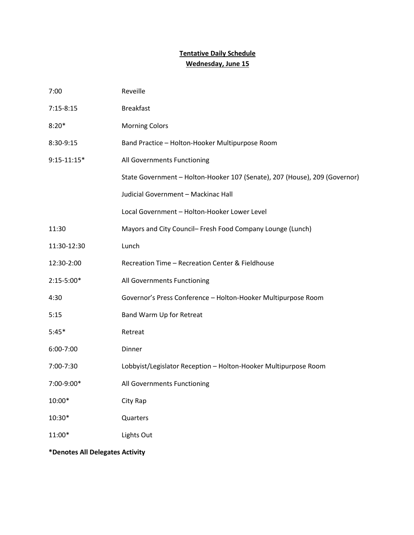# **Tentative Daily Schedule Wednesday, June 15**

| 7:00          | Reveille                                                                   |
|---------------|----------------------------------------------------------------------------|
| $7:15-8:15$   | <b>Breakfast</b>                                                           |
| $8:20*$       | <b>Morning Colors</b>                                                      |
| 8:30-9:15     | Band Practice - Holton-Hooker Multipurpose Room                            |
| $9:15-11:15*$ | All Governments Functioning                                                |
|               | State Government - Holton-Hooker 107 (Senate), 207 (House), 209 (Governor) |
|               | Judicial Government - Mackinac Hall                                        |
|               | Local Government - Holton-Hooker Lower Level                               |
| 11:30         | Mayors and City Council- Fresh Food Company Lounge (Lunch)                 |
| 11:30-12:30   | Lunch                                                                      |
| 12:30-2:00    | Recreation Time - Recreation Center & Fieldhouse                           |
| $2:15-5:00*$  | All Governments Functioning                                                |
| 4:30          | Governor's Press Conference - Holton-Hooker Multipurpose Room              |
| 5:15          | Band Warm Up for Retreat                                                   |
| $5:45*$       | Retreat                                                                    |
| 6:00-7:00     | Dinner                                                                     |
| 7:00-7:30     | Lobbyist/Legislator Reception - Holton-Hooker Multipurpose Room            |
| 7:00-9:00*    | All Governments Functioning                                                |
| 10:00*        | City Rap                                                                   |
| 10:30*        | Quarters                                                                   |
| 11:00*        | Lights Out                                                                 |
|               |                                                                            |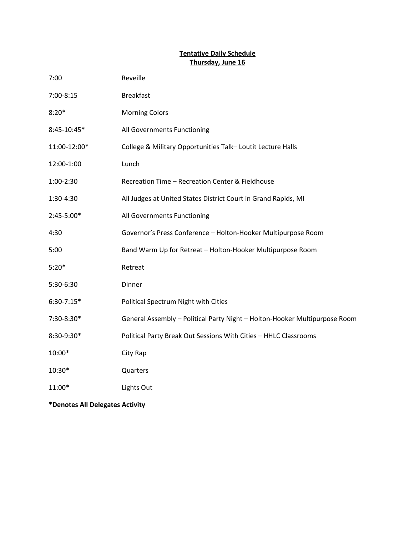#### **Tentative Daily Schedule Thursday, June 16**

| 7:00         | Reveille                                                                   |
|--------------|----------------------------------------------------------------------------|
| 7:00-8:15    | <b>Breakfast</b>                                                           |
| $8:20*$      | <b>Morning Colors</b>                                                      |
| 8:45-10:45*  | All Governments Functioning                                                |
| 11:00-12:00* | College & Military Opportunities Talk-Loutit Lecture Halls                 |
| 12:00-1:00   | Lunch                                                                      |
| 1:00-2:30    | Recreation Time - Recreation Center & Fieldhouse                           |
| 1:30-4:30    | All Judges at United States District Court in Grand Rapids, MI             |
| 2:45-5:00*   | All Governments Functioning                                                |
| 4:30         | Governor's Press Conference - Holton-Hooker Multipurpose Room              |
| 5:00         | Band Warm Up for Retreat - Holton-Hooker Multipurpose Room                 |
| $5:20*$      | Retreat                                                                    |
| 5:30-6:30    | Dinner                                                                     |
| $6:30-7:15*$ | Political Spectrum Night with Cities                                       |
| 7:30-8:30*   | General Assembly - Political Party Night - Holton-Hooker Multipurpose Room |
| 8:30-9:30*   | Political Party Break Out Sessions With Cities - HHLC Classrooms           |
| 10:00*       | City Rap                                                                   |
| 10:30*       | Quarters                                                                   |
| 11:00*       | Lights Out                                                                 |
|              |                                                                            |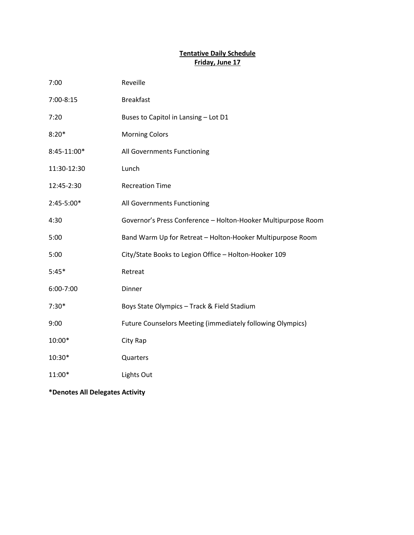#### **Tentative Daily Schedule Friday, June 17**

| 7:00        | Reveille                                                          |
|-------------|-------------------------------------------------------------------|
| 7:00-8:15   | <b>Breakfast</b>                                                  |
| 7:20        | Buses to Capitol in Lansing - Lot D1                              |
| $8:20*$     | <b>Morning Colors</b>                                             |
| 8:45-11:00* | All Governments Functioning                                       |
| 11:30-12:30 | Lunch                                                             |
| 12:45-2:30  | <b>Recreation Time</b>                                            |
| 2:45-5:00*  | All Governments Functioning                                       |
| 4:30        | Governor's Press Conference - Holton-Hooker Multipurpose Room     |
| 5:00        | Band Warm Up for Retreat - Holton-Hooker Multipurpose Room        |
| 5:00        | City/State Books to Legion Office - Holton-Hooker 109             |
| $5:45*$     | Retreat                                                           |
| 6:00-7:00   | Dinner                                                            |
| $7:30*$     | Boys State Olympics - Track & Field Stadium                       |
| 9:00        | <b>Future Counselors Meeting (immediately following Olympics)</b> |
| 10:00*      | City Rap                                                          |
| 10:30*      | Quarters                                                          |
| 11:00*      | Lights Out                                                        |
|             |                                                                   |